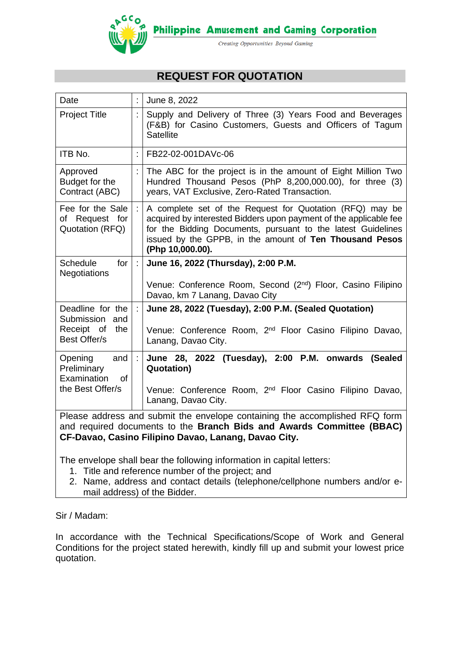

# **REQUEST FOR QUOTATION**

| Date                                                                                                                                                                                                         |  | June 8, 2022                                                                                                                                                                                                                                                                 |
|--------------------------------------------------------------------------------------------------------------------------------------------------------------------------------------------------------------|--|------------------------------------------------------------------------------------------------------------------------------------------------------------------------------------------------------------------------------------------------------------------------------|
| <b>Project Title</b>                                                                                                                                                                                         |  | Supply and Delivery of Three (3) Years Food and Beverages<br>(F&B) for Casino Customers, Guests and Officers of Tagum<br><b>Satellite</b>                                                                                                                                    |
| ITB No.                                                                                                                                                                                                      |  | FB22-02-001DAVc-06                                                                                                                                                                                                                                                           |
| Approved<br>Budget for the<br>Contract (ABC)                                                                                                                                                                 |  | The ABC for the project is in the amount of Eight Million Two<br>Hundred Thousand Pesos (PhP 8,200,000.00), for three (3)<br>years, VAT Exclusive, Zero-Rated Transaction.                                                                                                   |
| Fee for the Sale<br>of Request for<br>Quotation (RFQ)                                                                                                                                                        |  | A complete set of the Request for Quotation (RFQ) may be<br>acquired by interested Bidders upon payment of the applicable fee<br>for the Bidding Documents, pursuant to the latest Guidelines<br>issued by the GPPB, in the amount of Ten Thousand Pesos<br>(Php 10,000.00). |
| for<br><b>Schedule</b><br><b>Negotiations</b>                                                                                                                                                                |  | June 16, 2022 (Thursday), 2:00 P.M.                                                                                                                                                                                                                                          |
|                                                                                                                                                                                                              |  | Venue: Conference Room, Second (2nd) Floor, Casino Filipino<br>Davao, km 7 Lanang, Davao City                                                                                                                                                                                |
| Deadline for the<br>Submission<br>and                                                                                                                                                                        |  | June 28, 2022 (Tuesday), 2:00 P.M. (Sealed Quotation)                                                                                                                                                                                                                        |
| Receipt of<br>the<br><b>Best Offer/s</b>                                                                                                                                                                     |  | Venue: Conference Room, 2 <sup>nd</sup> Floor Casino Filipino Davao,<br>Lanang, Davao City.                                                                                                                                                                                  |
| Opening<br>and<br>Preliminary<br>Examination<br><b>of</b>                                                                                                                                                    |  | June 28, 2022 (Tuesday), 2:00 P.M. onwards<br>(Sealed<br><b>Quotation)</b>                                                                                                                                                                                                   |
| the Best Offer/s                                                                                                                                                                                             |  | Venue: Conference Room, 2 <sup>nd</sup> Floor Casino Filipino Davao,<br>Lanang, Davao City.                                                                                                                                                                                  |
| Please address and submit the envelope containing the accomplished RFQ form<br>and required documents to the Branch Bids and Awards Committee (BBAC)<br>CF-Davao, Casino Filipino Davao, Lanang, Davao City. |  |                                                                                                                                                                                                                                                                              |

The envelope shall bear the following information in capital letters:

- 1. Title and reference number of the project; and
- 2. Name, address and contact details (telephone/cellphone numbers and/or email address) of the Bidder.

Sir / Madam:

In accordance with the Technical Specifications/Scope of Work and General Conditions for the project stated herewith, kindly fill up and submit your lowest price quotation.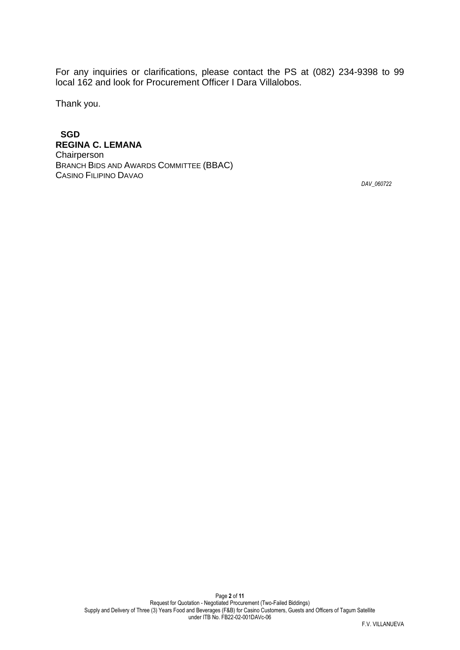For any inquiries or clarifications, please contact the PS at (082) 234-9398 to 99 local 162 and look for Procurement Officer I Dara Villalobos.

Thank you.

 **SGD REGINA C. LEMANA Chairperson** BRANCH BIDS AND AWARDS COMMITTEE (BBAC) CASINO FILIPINO DAVAO

*DAV\_060722*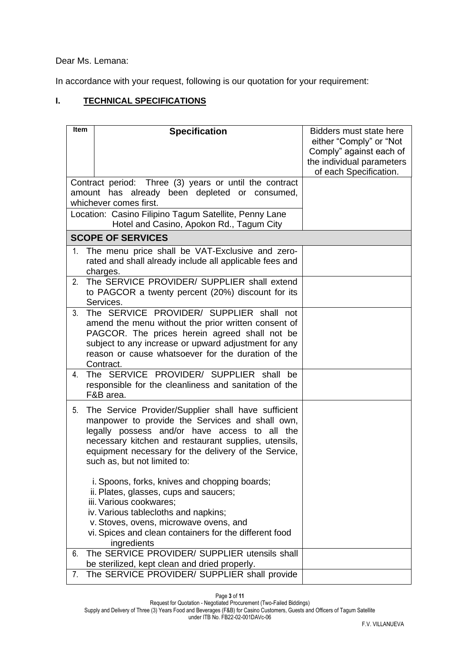Dear Ms. Lemana:

In accordance with your request, following is our quotation for your requirement:

# **I. TECHNICAL SPECIFICATIONS**

| <b>Item</b> | <b>Specification</b><br>Contract period: Three (3) years or until the contract                                                                                                                                                                                                                          | Bidders must state here<br>either "Comply" or "Not<br>Comply" against each of<br>the individual parameters<br>of each Specification. |
|-------------|---------------------------------------------------------------------------------------------------------------------------------------------------------------------------------------------------------------------------------------------------------------------------------------------------------|--------------------------------------------------------------------------------------------------------------------------------------|
|             | amount has already been depleted or consumed,<br>whichever comes first.                                                                                                                                                                                                                                 |                                                                                                                                      |
|             | Location: Casino Filipino Tagum Satellite, Penny Lane<br>Hotel and Casino, Apokon Rd., Tagum City                                                                                                                                                                                                       |                                                                                                                                      |
|             | <b>SCOPE OF SERVICES</b>                                                                                                                                                                                                                                                                                |                                                                                                                                      |
| 1.          | The menu price shall be VAT-Exclusive and zero-<br>rated and shall already include all applicable fees and<br>charges.                                                                                                                                                                                  |                                                                                                                                      |
| 2.          | The SERVICE PROVIDER/ SUPPLIER shall extend<br>to PAGCOR a twenty percent (20%) discount for its<br>Services.                                                                                                                                                                                           |                                                                                                                                      |
| 3.          | The SERVICE PROVIDER/ SUPPLIER shall not<br>amend the menu without the prior written consent of<br>PAGCOR. The prices herein agreed shall not be<br>subject to any increase or upward adjustment for any<br>reason or cause whatsoever for the duration of the<br>Contract.                             |                                                                                                                                      |
| 4.          | The SERVICE PROVIDER/ SUPPLIER shall<br>be<br>responsible for the cleanliness and sanitation of the<br>F&B area.                                                                                                                                                                                        |                                                                                                                                      |
| 5.          | The Service Provider/Supplier shall have sufficient<br>manpower to provide the Services and shall own,<br>legally possess and/or have access to all the<br>necessary kitchen and restaurant supplies, utensils,<br>equipment necessary for the delivery of the Service,<br>such as, but not limited to: |                                                                                                                                      |
|             | i. Spoons, forks, knives and chopping boards;<br>ii. Plates, glasses, cups and saucers;<br>iii. Various cookwares;<br>iv. Various tablecloths and napkins;                                                                                                                                              |                                                                                                                                      |
|             | v. Stoves, ovens, microwave ovens, and<br>vi. Spices and clean containers for the different food<br>ingredients                                                                                                                                                                                         |                                                                                                                                      |
| 6.          | The SERVICE PROVIDER/ SUPPLIER utensils shall<br>be sterilized, kept clean and dried properly.                                                                                                                                                                                                          |                                                                                                                                      |
| 7.          | The SERVICE PROVIDER/ SUPPLIER shall provide                                                                                                                                                                                                                                                            |                                                                                                                                      |

Page **3** of **11**

under ITB No. FB22-02-001DAVc-06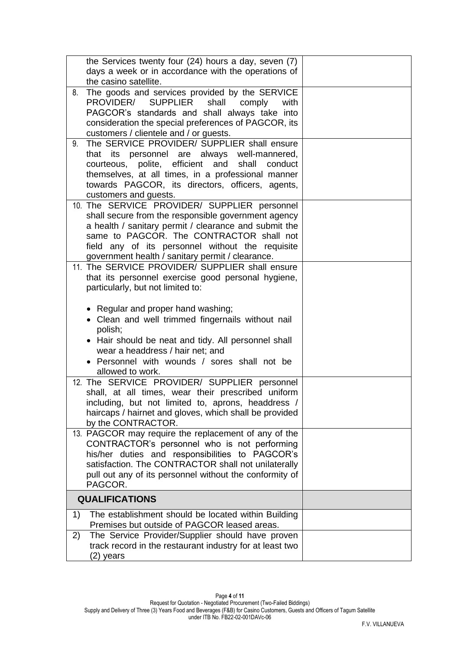| the Services twenty four (24) hours a day, seven (7)<br>days a week or in accordance with the operations of<br>the casino satellite.                                                                                                                                                                             |  |
|------------------------------------------------------------------------------------------------------------------------------------------------------------------------------------------------------------------------------------------------------------------------------------------------------------------|--|
| The goods and services provided by the SERVICE<br>8.<br><b>SUPPLIER</b><br>PROVIDER/<br>shall<br>comply<br>with<br>PAGCOR's standards and shall always take into<br>consideration the special preferences of PAGCOR, its<br>customers / clientele and / or guests.                                               |  |
| The SERVICE PROVIDER/ SUPPLIER shall ensure<br>9.<br>that its personnel are always well-mannered,<br>courteous, polite, efficient and shall<br>conduct<br>themselves, at all times, in a professional manner<br>towards PAGCOR, its directors, officers, agents,<br>customers and guests.                        |  |
| 10. The SERVICE PROVIDER/ SUPPLIER personnel<br>shall secure from the responsible government agency<br>a health / sanitary permit / clearance and submit the<br>same to PAGCOR. The CONTRACTOR shall not<br>field any of its personnel without the requisite<br>government health / sanitary permit / clearance. |  |
| 11. The SERVICE PROVIDER/ SUPPLIER shall ensure<br>that its personnel exercise good personal hygiene,<br>particularly, but not limited to:                                                                                                                                                                       |  |
| • Regular and proper hand washing;<br>Clean and well trimmed fingernails without nail<br>polish;<br>• Hair should be neat and tidy. All personnel shall<br>wear a headdress / hair net: and<br>Personnel with wounds / sores shall not be<br>allowed to work.                                                    |  |
| 12. The SERVICE PROVIDER/ SUPPLIER personnel<br>shall, at all times, wear their prescribed uniform<br>including, but not limited to, aprons, headdress /<br>haircaps / hairnet and gloves, which shall be provided<br>by the CONTRACTOR.                                                                         |  |
| 13. PAGCOR may require the replacement of any of the<br>CONTRACTOR's personnel who is not performing<br>his/her duties and responsibilities to PAGCOR's<br>satisfaction. The CONTRACTOR shall not unilaterally<br>pull out any of its personnel without the conformity of<br>PAGCOR.                             |  |
| <b>QUALIFICATIONS</b>                                                                                                                                                                                                                                                                                            |  |
| The establishment should be located within Building<br>1)<br>Premises but outside of PAGCOR leased areas.                                                                                                                                                                                                        |  |
| The Service Provider/Supplier should have proven<br>2)<br>track record in the restaurant industry for at least two<br>(2) years                                                                                                                                                                                  |  |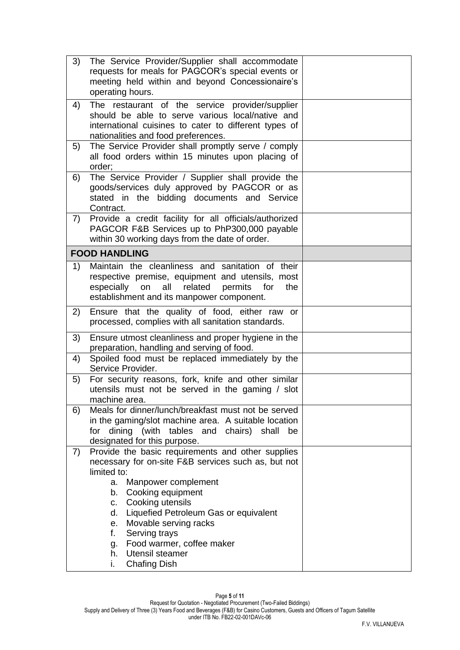| 3) | The Service Provider/Supplier shall accommodate<br>requests for meals for PAGCOR's special events or<br>meeting held within and beyond Concessionaire's<br>operating hours.                                                                                                                                                                                                                          |  |
|----|------------------------------------------------------------------------------------------------------------------------------------------------------------------------------------------------------------------------------------------------------------------------------------------------------------------------------------------------------------------------------------------------------|--|
| 4) | The restaurant of the service provider/supplier<br>should be able to serve various local/native and<br>international cuisines to cater to different types of<br>nationalities and food preferences.                                                                                                                                                                                                  |  |
| 5) | The Service Provider shall promptly serve / comply<br>all food orders within 15 minutes upon placing of<br>order:                                                                                                                                                                                                                                                                                    |  |
| 6) | The Service Provider / Supplier shall provide the<br>goods/services duly approved by PAGCOR or as<br>stated in the bidding documents and Service<br>Contract.                                                                                                                                                                                                                                        |  |
| 7) | Provide a credit facility for all officials/authorized<br>PAGCOR F&B Services up to PhP300,000 payable<br>within 30 working days from the date of order.                                                                                                                                                                                                                                             |  |
|    | <b>FOOD HANDLING</b>                                                                                                                                                                                                                                                                                                                                                                                 |  |
| 1) | Maintain the cleanliness and sanitation of their<br>respective premise, equipment and utensils, most<br>related<br>all<br>permits<br>for<br>especially<br>on<br>the<br>establishment and its manpower component.                                                                                                                                                                                     |  |
| 2) | Ensure that the quality of food, either raw or<br>processed, complies with all sanitation standards.                                                                                                                                                                                                                                                                                                 |  |
| 3) | Ensure utmost cleanliness and proper hygiene in the<br>preparation, handling and serving of food.                                                                                                                                                                                                                                                                                                    |  |
| 4) | Spoiled food must be replaced immediately by the<br>Service Provider.                                                                                                                                                                                                                                                                                                                                |  |
| 5) | For security reasons, fork, knife and other similar<br>utensils must not be served in the gaming / slot<br>machine area                                                                                                                                                                                                                                                                              |  |
| 6) | Meals for dinner/lunch/breakfast must not be served<br>in the gaming/slot machine area. A suitable location<br>dining (with tables and chairs) shall<br>for<br>be<br>designated for this purpose.                                                                                                                                                                                                    |  |
| 7) | Provide the basic requirements and other supplies<br>necessary for on-site F&B services such as, but not<br>limited to:<br>Manpower complement<br>a.<br>Cooking equipment<br>b.<br>Cooking utensils<br>C.<br>Liquefied Petroleum Gas or equivalent<br>d.<br>Movable serving racks<br>е.<br>f.<br>Serving trays<br>g. Food warmer, coffee maker<br>Utensil steamer<br>h.<br><b>Chafing Dish</b><br>İ. |  |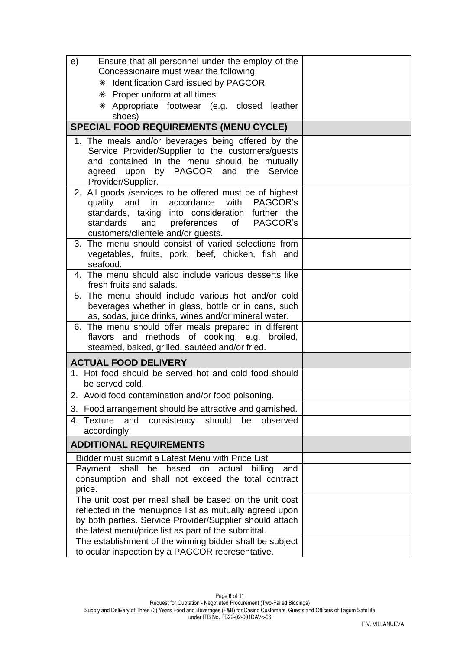| Ensure that all personnel under the employ of the<br>e)                                                                                                                                                                                                              |  |
|----------------------------------------------------------------------------------------------------------------------------------------------------------------------------------------------------------------------------------------------------------------------|--|
| Concessionaire must wear the following:                                                                                                                                                                                                                              |  |
| * Identification Card issued by PAGCOR                                                                                                                                                                                                                               |  |
| $*$ Proper uniform at all times                                                                                                                                                                                                                                      |  |
| $*$ Appropriate footwear (e.g. closed leather<br>shoes)                                                                                                                                                                                                              |  |
| <b>SPECIAL FOOD REQUIREMENTS (MENU CYCLE)</b>                                                                                                                                                                                                                        |  |
| 1. The meals and/or beverages being offered by the<br>Service Provider/Supplier to the customers/guests<br>and contained in the menu should be mutually<br>upon by PAGCOR and the<br>Service<br>agreed<br>Provider/Supplier.                                         |  |
| 2. All goods /services to be offered must be of highest<br>with<br><b>PAGCOR's</b><br>quality and<br>in accordance<br>standards, taking into consideration<br>further the<br>PAGCOR's<br>standards<br>and<br>preferences<br>of<br>customers/clientele and/or guests. |  |
| 3. The menu should consist of varied selections from<br>vegetables, fruits, pork, beef, chicken, fish and<br>seafood.                                                                                                                                                |  |
| 4. The menu should also include various desserts like<br>fresh fruits and salads.                                                                                                                                                                                    |  |
| 5. The menu should include various hot and/or cold<br>beverages whether in glass, bottle or in cans, such<br>as, sodas, juice drinks, wines and/or mineral water.                                                                                                    |  |
| 6. The menu should offer meals prepared in different<br>flavors and methods of cooking, e.g.<br>broiled,<br>steamed, baked, grilled, sautéed and/or fried.                                                                                                           |  |
| <b>ACTUAL FOOD DELIVERY</b>                                                                                                                                                                                                                                          |  |
| 1. Hot food should be served hot and cold food should<br>be served cold.                                                                                                                                                                                             |  |
| 2. Avoid food contamination and/or food poisoning.                                                                                                                                                                                                                   |  |
| 3. Food arrangement should be attractive and garnished.                                                                                                                                                                                                              |  |
| 4. Texture<br>and<br>should<br>consistency<br>be<br>observed<br>accordingly.                                                                                                                                                                                         |  |
| <b>ADDITIONAL REQUIREMENTS</b>                                                                                                                                                                                                                                       |  |
| Bidder must submit a Latest Menu with Price List                                                                                                                                                                                                                     |  |
| Payment<br>shall<br>be<br>based<br>actual<br>billing<br>on<br>and<br>consumption and shall not exceed the total contract<br>price.                                                                                                                                   |  |
| The unit cost per meal shall be based on the unit cost<br>reflected in the menu/price list as mutually agreed upon<br>by both parties. Service Provider/Supplier should attach<br>the latest menu/price list as part of the submittal.                               |  |
| The establishment of the winning bidder shall be subject<br>to ocular inspection by a PAGCOR representative.                                                                                                                                                         |  |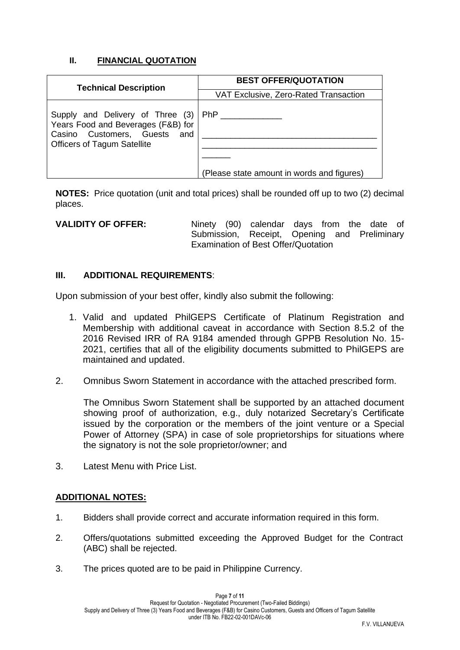## **II. FINANCIAL QUOTATION**

| <b>Technical Description</b>                                                                                                                    | <b>BEST OFFER/QUOTATION</b>                              |  |
|-------------------------------------------------------------------------------------------------------------------------------------------------|----------------------------------------------------------|--|
|                                                                                                                                                 | VAT Exclusive, Zero-Rated Transaction                    |  |
| Supply and Delivery of Three (3)<br>Years Food and Beverages (F&B) for<br>Casino Customers, Guests<br>and<br><b>Officers of Tagum Satellite</b> | <b>PhP</b><br>(Please state amount in words and figures) |  |

**NOTES:** Price quotation (unit and total prices) shall be rounded off up to two (2) decimal places.

**VALIDITY OF OFFER:** Ninety (90) calendar days from the date of Submission, Receipt, Opening and Preliminary Examination of Best Offer/Quotation

#### **III. ADDITIONAL REQUIREMENTS**:

Upon submission of your best offer, kindly also submit the following:

- 1. Valid and updated PhilGEPS Certificate of Platinum Registration and Membership with additional caveat in accordance with Section 8.5.2 of the 2016 Revised IRR of RA 9184 amended through GPPB Resolution No. 15- 2021, certifies that all of the eligibility documents submitted to PhilGEPS are maintained and updated.
- 2. Omnibus Sworn Statement in accordance with the attached prescribed form.

The Omnibus Sworn Statement shall be supported by an attached document showing proof of authorization, e.g., duly notarized Secretary's Certificate issued by the corporation or the members of the joint venture or a Special Power of Attorney (SPA) in case of sole proprietorships for situations where the signatory is not the sole proprietor/owner; and

3. Latest Menu with Price List.

#### **ADDITIONAL NOTES:**

- 1. Bidders shall provide correct and accurate information required in this form.
- 2. Offers/quotations submitted exceeding the Approved Budget for the Contract (ABC) shall be rejected.
- 3. The prices quoted are to be paid in Philippine Currency.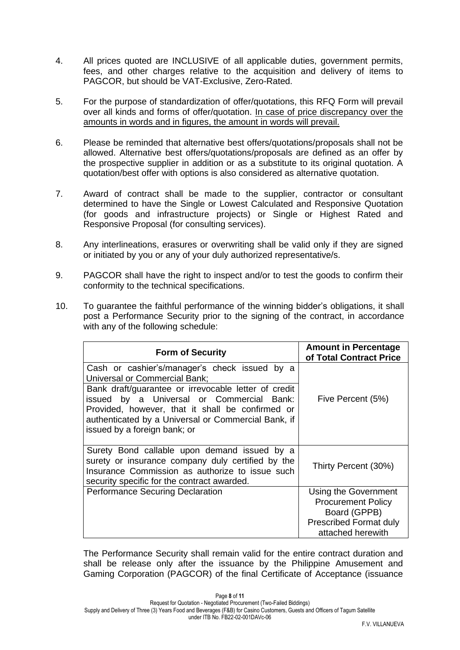- 4. All prices quoted are INCLUSIVE of all applicable duties, government permits, fees, and other charges relative to the acquisition and delivery of items to PAGCOR, but should be VAT-Exclusive, Zero-Rated.
- 5. For the purpose of standardization of offer/quotations, this RFQ Form will prevail over all kinds and forms of offer/quotation. In case of price discrepancy over the amounts in words and in figures, the amount in words will prevail.
- 6. Please be reminded that alternative best offers/quotations/proposals shall not be allowed. Alternative best offers/quotations/proposals are defined as an offer by the prospective supplier in addition or as a substitute to its original quotation. A quotation/best offer with options is also considered as alternative quotation.
- 7. Award of contract shall be made to the supplier, contractor or consultant determined to have the Single or Lowest Calculated and Responsive Quotation (for goods and infrastructure projects) or Single or Highest Rated and Responsive Proposal (for consulting services).
- 8. Any interlineations, erasures or overwriting shall be valid only if they are signed or initiated by you or any of your duly authorized representative/s.
- 9. PAGCOR shall have the right to inspect and/or to test the goods to confirm their conformity to the technical specifications.
- 10. To guarantee the faithful performance of the winning bidder's obligations, it shall post a Performance Security prior to the signing of the contract, in accordance with any of the following schedule:

| <b>Form of Security</b>                                                                                                                                                                                                                                                                                                        | <b>Amount in Percentage</b><br>of Total Contract Price                                                                  |
|--------------------------------------------------------------------------------------------------------------------------------------------------------------------------------------------------------------------------------------------------------------------------------------------------------------------------------|-------------------------------------------------------------------------------------------------------------------------|
| Cash or cashier's/manager's check issued by a<br>Universal or Commercial Bank;<br>Bank draft/guarantee or irrevocable letter of credit<br>issued by a Universal or Commercial Bank:<br>Provided, however, that it shall be confirmed or<br>authenticated by a Universal or Commercial Bank, if<br>issued by a foreign bank; or | Five Percent (5%)                                                                                                       |
| Surety Bond callable upon demand issued by a<br>surety or insurance company duly certified by the<br>Insurance Commission as authorize to issue such<br>security specific for the contract awarded.                                                                                                                            | Thirty Percent (30%)                                                                                                    |
| <b>Performance Securing Declaration</b>                                                                                                                                                                                                                                                                                        | Using the Government<br><b>Procurement Policy</b><br>Board (GPPB)<br><b>Prescribed Format duly</b><br>attached herewith |

The Performance Security shall remain valid for the entire contract duration and shall be release only after the issuance by the Philippine Amusement and Gaming Corporation (PAGCOR) of the final Certificate of Acceptance (issuance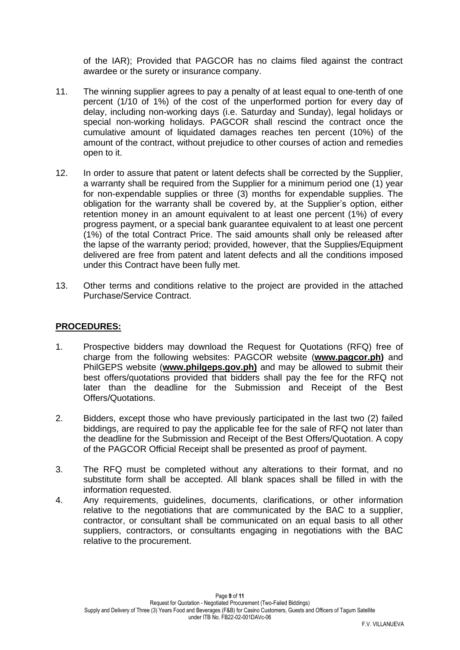of the IAR); Provided that PAGCOR has no claims filed against the contract awardee or the surety or insurance company.

- 11. The winning supplier agrees to pay a penalty of at least equal to one-tenth of one percent (1/10 of 1%) of the cost of the unperformed portion for every day of delay, including non-working days (i.e. Saturday and Sunday), legal holidays or special non-working holidays. PAGCOR shall rescind the contract once the cumulative amount of liquidated damages reaches ten percent (10%) of the amount of the contract, without prejudice to other courses of action and remedies open to it.
- 12. In order to assure that patent or latent defects shall be corrected by the Supplier, a warranty shall be required from the Supplier for a minimum period one (1) year for non-expendable supplies or three (3) months for expendable supplies. The obligation for the warranty shall be covered by, at the Supplier's option, either retention money in an amount equivalent to at least one percent (1%) of every progress payment, or a special bank guarantee equivalent to at least one percent (1%) of the total Contract Price. The said amounts shall only be released after the lapse of the warranty period; provided, however, that the Supplies/Equipment delivered are free from patent and latent defects and all the conditions imposed under this Contract have been fully met.
- 13. Other terms and conditions relative to the project are provided in the attached Purchase/Service Contract.

#### **PROCEDURES:**

- 1. Prospective bidders may download the Request for Quotations (RFQ) free of charge from the following websites: PAGCOR website (**[www.pagcor.ph\)](http://www.pagcor.ph/)** and PhilGEPS website (**www.philgeps.gov.ph)** and may be allowed to submit their best offers/quotations provided that bidders shall pay the fee for the RFQ not later than the deadline for the Submission and Receipt of the Best Offers/Quotations.
- 2. Bidders, except those who have previously participated in the last two (2) failed biddings, are required to pay the applicable fee for the sale of RFQ not later than the deadline for the Submission and Receipt of the Best Offers/Quotation. A copy of the PAGCOR Official Receipt shall be presented as proof of payment.
- 3. The RFQ must be completed without any alterations to their format, and no substitute form shall be accepted. All blank spaces shall be filled in with the information requested.
- 4. Any requirements, guidelines, documents, clarifications, or other information relative to the negotiations that are communicated by the BAC to a supplier, contractor, or consultant shall be communicated on an equal basis to all other suppliers, contractors, or consultants engaging in negotiations with the BAC relative to the procurement.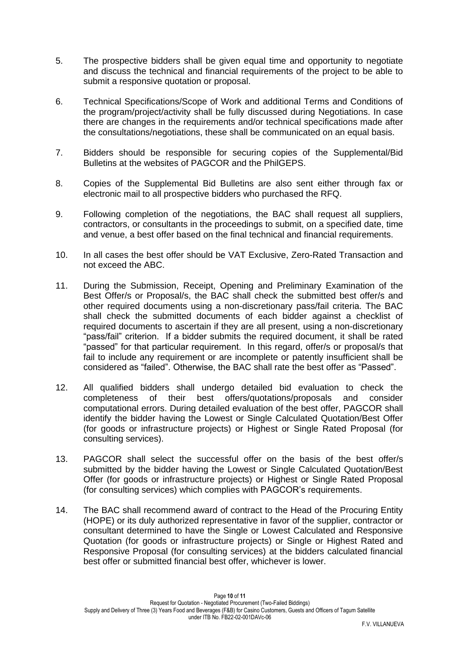- 5. The prospective bidders shall be given equal time and opportunity to negotiate and discuss the technical and financial requirements of the project to be able to submit a responsive quotation or proposal.
- 6. Technical Specifications/Scope of Work and additional Terms and Conditions of the program/project/activity shall be fully discussed during Negotiations. In case there are changes in the requirements and/or technical specifications made after the consultations/negotiations, these shall be communicated on an equal basis.
- 7. Bidders should be responsible for securing copies of the Supplemental/Bid Bulletins at the websites of PAGCOR and the PhilGEPS.
- 8. Copies of the Supplemental Bid Bulletins are also sent either through fax or electronic mail to all prospective bidders who purchased the RFQ.
- 9. Following completion of the negotiations, the BAC shall request all suppliers, contractors, or consultants in the proceedings to submit, on a specified date, time and venue, a best offer based on the final technical and financial requirements.
- 10. In all cases the best offer should be VAT Exclusive, Zero-Rated Transaction and not exceed the ABC.
- 11. During the Submission, Receipt, Opening and Preliminary Examination of the Best Offer/s or Proposal/s, the BAC shall check the submitted best offer/s and other required documents using a non-discretionary pass/fail criteria. The BAC shall check the submitted documents of each bidder against a checklist of required documents to ascertain if they are all present, using a non-discretionary "pass/fail" criterion. If a bidder submits the required document, it shall be rated "passed" for that particular requirement. In this regard, offer/s or proposal/s that fail to include any requirement or are incomplete or patently insufficient shall be considered as "failed". Otherwise, the BAC shall rate the best offer as "Passed".
- 12. All qualified bidders shall undergo detailed bid evaluation to check the completeness of their best offers/quotations/proposals and consider computational errors. During detailed evaluation of the best offer, PAGCOR shall identify the bidder having the Lowest or Single Calculated Quotation/Best Offer (for goods or infrastructure projects) or Highest or Single Rated Proposal (for consulting services).
- 13. PAGCOR shall select the successful offer on the basis of the best offer/s submitted by the bidder having the Lowest or Single Calculated Quotation/Best Offer (for goods or infrastructure projects) or Highest or Single Rated Proposal (for consulting services) which complies with PAGCOR's requirements.
- 14. The BAC shall recommend award of contract to the Head of the Procuring Entity (HOPE) or its duly authorized representative in favor of the supplier, contractor or consultant determined to have the Single or Lowest Calculated and Responsive Quotation (for goods or infrastructure projects) or Single or Highest Rated and Responsive Proposal (for consulting services) at the bidders calculated financial best offer or submitted financial best offer, whichever is lower.